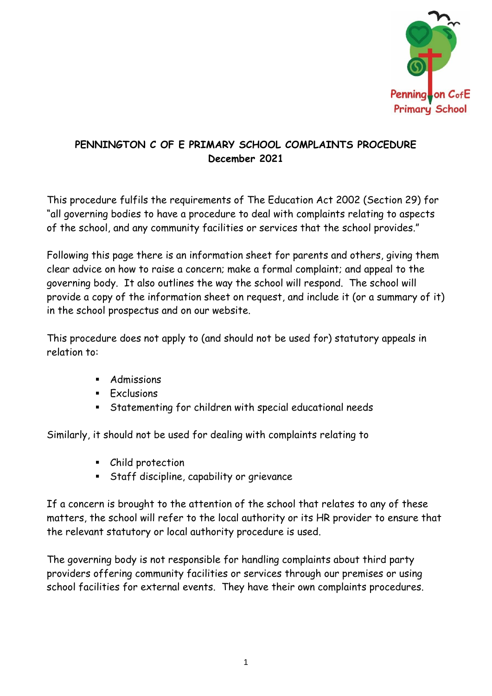

# **PENNINGTON C OF E PRIMARY SCHOOL COMPLAINTS PROCEDURE December 2021**

This procedure fulfils the requirements of The Education Act 2002 (Section 29) for "all governing bodies to have a procedure to deal with complaints relating to aspects of the school, and any community facilities or services that the school provides."

Following this page there is an information sheet for parents and others, giving them clear advice on how to raise a concern; make a formal complaint; and appeal to the governing body. It also outlines the way the school will respond. The school will provide a copy of the information sheet on request, and include it (or a summary of it) in the school prospectus and on our website.

This procedure does not apply to (and should not be used for) statutory appeals in relation to:

- **Admissions**
- **Exclusions**
- Statementing for children with special educational needs

Similarly, it should not be used for dealing with complaints relating to

- Child protection
- **EXECTE:** Staff discipline, capability or grievance

If a concern is brought to the attention of the school that relates to any of these matters, the school will refer to the local authority or its HR provider to ensure that the relevant statutory or local authority procedure is used.

The governing body is not responsible for handling complaints about third party providers offering community facilities or services through our premises or using school facilities for external events. They have their own complaints procedures.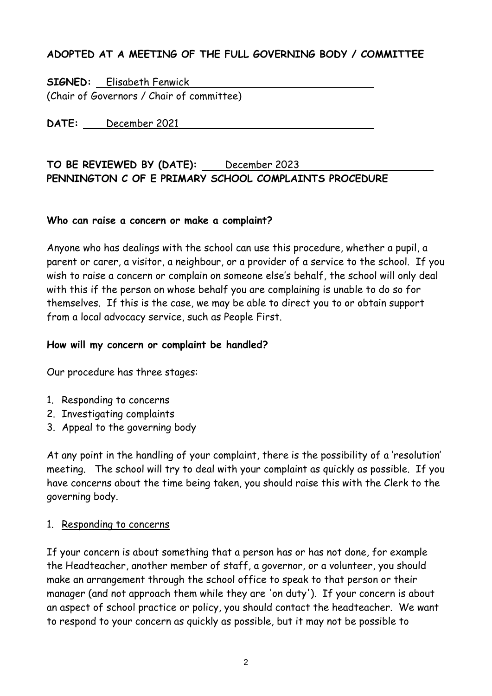## **ADOPTED AT A MEETING OF THE FULL GOVERNING BODY / COMMITTEE**

**SIGNED:** Elisabeth Fenwick (Chair of Governors / Chair of committee)

**DATE:** December 2021

### **TO BE REVIEWED BY (DATE):** December 2023 **PENNINGTON C OF E PRIMARY SCHOOL COMPLAINTS PROCEDURE**

#### **Who can raise a concern or make a complaint?**

Anyone who has dealings with the school can use this procedure, whether a pupil, a parent or carer, a visitor, a neighbour, or a provider of a service to the school. If you wish to raise a concern or complain on someone else's behalf, the school will only deal with this if the person on whose behalf you are complaining is unable to do so for themselves. If this is the case, we may be able to direct you to or obtain support from a local advocacy service, such as People First.

#### **How will my concern or complaint be handled?**

Our procedure has three stages:

- 1. Responding to concerns
- 2. Investigating complaints
- 3. Appeal to the governing body

At any point in the handling of your complaint, there is the possibility of a 'resolution' meeting. The school will try to deal with your complaint as quickly as possible. If you have concerns about the time being taken, you should raise this with the Clerk to the governing body.

#### 1. Responding to concerns

If your concern is about something that a person has or has not done, for example the Headteacher, another member of staff, a governor, or a volunteer, you should make an arrangement through the school office to speak to that person or their manager (and not approach them while they are 'on duty'). If your concern is about an aspect of school practice or policy, you should contact the headteacher. We want to respond to your concern as quickly as possible, but it may not be possible to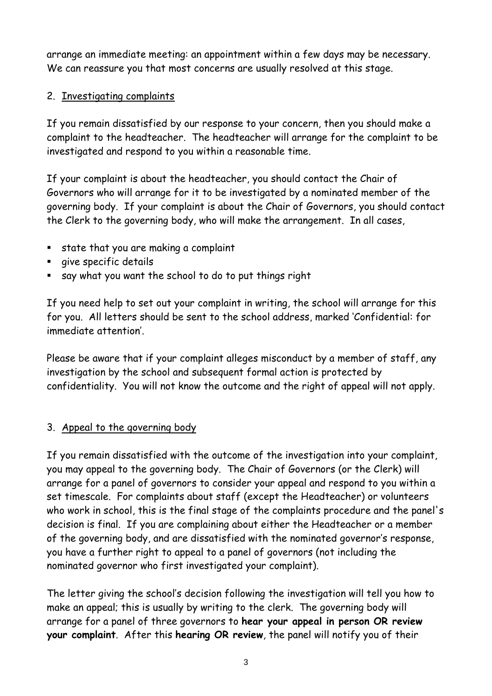arrange an immediate meeting: an appointment within a few days may be necessary. We can reassure you that most concerns are usually resolved at this stage.

### 2. Investigating complaints

If you remain dissatisfied by our response to your concern, then you should make a complaint to the headteacher. The headteacher will arrange for the complaint to be investigated and respond to you within a reasonable time.

If your complaint is about the headteacher, you should contact the Chair of Governors who will arrange for it to be investigated by a nominated member of the governing body. If your complaint is about the Chair of Governors, you should contact the Clerk to the governing body, who will make the arrangement. In all cases,

- state that you are making a complaint
- give specific details
- say what you want the school to do to put things right

If you need help to set out your complaint in writing, the school will arrange for this for you. All letters should be sent to the school address, marked 'Confidential: for immediate attention'.

Please be aware that if your complaint alleges misconduct by a member of staff, any investigation by the school and subsequent formal action is protected by confidentiality. You will not know the outcome and the right of appeal will not apply.

### 3. Appeal to the governing body

If you remain dissatisfied with the outcome of the investigation into your complaint, you may appeal to the governing body. The Chair of Governors (or the Clerk) will arrange for a panel of governors to consider your appeal and respond to you within a set timescale. For complaints about staff (except the Headteacher) or volunteers who work in school, this is the final stage of the complaints procedure and the panel's decision is final. If you are complaining about either the Headteacher or a member of the governing body, and are dissatisfied with the nominated governor's response, you have a further right to appeal to a panel of governors (not including the nominated governor who first investigated your complaint).

The letter giving the school's decision following the investigation will tell you how to make an appeal; this is usually by writing to the clerk. The governing body will arrange for a panel of three governors to **hear your appeal in person OR review your complaint**. After this **hearing OR review**, the panel will notify you of their